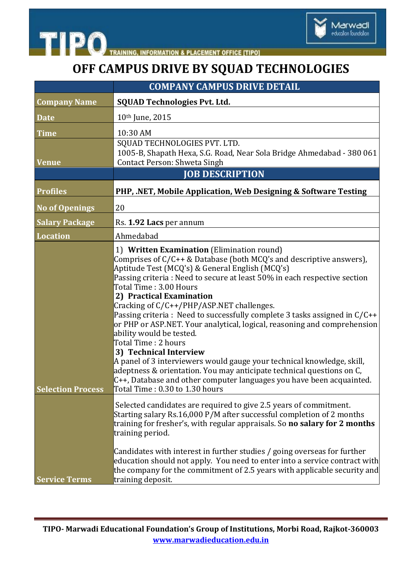

## **OFF CAMPUS DRIVE BY SQUAD TECHNOLOGIES**

| <b>COMPANY CAMPUS DRIVE DETAIL</b> |                                                                                                                                                                                                                                                                                                                                                                                                                                                                                                                                                                                                                                                                                                                                                                                                                                                                   |
|------------------------------------|-------------------------------------------------------------------------------------------------------------------------------------------------------------------------------------------------------------------------------------------------------------------------------------------------------------------------------------------------------------------------------------------------------------------------------------------------------------------------------------------------------------------------------------------------------------------------------------------------------------------------------------------------------------------------------------------------------------------------------------------------------------------------------------------------------------------------------------------------------------------|
| <b>Company Name</b>                | <b>SQUAD Technologies Pvt. Ltd.</b>                                                                                                                                                                                                                                                                                                                                                                                                                                                                                                                                                                                                                                                                                                                                                                                                                               |
| <b>Date</b>                        | 10th June, 2015                                                                                                                                                                                                                                                                                                                                                                                                                                                                                                                                                                                                                                                                                                                                                                                                                                                   |
| <b>Time</b>                        | 10:30 AM<br>SQUAD TECHNOLOGIES PVT. LTD.                                                                                                                                                                                                                                                                                                                                                                                                                                                                                                                                                                                                                                                                                                                                                                                                                          |
| <b>Venue</b>                       | 1005-B, Shapath Hexa, S.G. Road, Near Sola Bridge Ahmedabad - 380 061<br>Contact Person: Shweta Singh                                                                                                                                                                                                                                                                                                                                                                                                                                                                                                                                                                                                                                                                                                                                                             |
|                                    | <b>JOB DESCRIPTION</b>                                                                                                                                                                                                                                                                                                                                                                                                                                                                                                                                                                                                                                                                                                                                                                                                                                            |
| <b>Profiles</b>                    | PHP, .NET, Mobile Application, Web Designing & Software Testing                                                                                                                                                                                                                                                                                                                                                                                                                                                                                                                                                                                                                                                                                                                                                                                                   |
| <b>No of Openings</b>              | 20                                                                                                                                                                                                                                                                                                                                                                                                                                                                                                                                                                                                                                                                                                                                                                                                                                                                |
| <b>Salary Package</b>              | Rs. 1.92 Lacs per annum                                                                                                                                                                                                                                                                                                                                                                                                                                                                                                                                                                                                                                                                                                                                                                                                                                           |
| <b>Location</b>                    | Ahmedabad                                                                                                                                                                                                                                                                                                                                                                                                                                                                                                                                                                                                                                                                                                                                                                                                                                                         |
| <b>Selection Process</b>           | 1) Written Examination (Elimination round)<br>Comprises of $C/C++$ & Database (both MCQ's and descriptive answers),<br>Aptitude Test (MCQ's) & General English (MCQ's)<br>Passing criteria: Need to secure at least 50% in each respective section<br>Total Time: 3.00 Hours<br>2) Practical Examination<br>Cracking of C/C++/PHP/ASP.NET challenges.<br>Passing criteria : Need to successfully complete 3 tasks assigned in $C/C++$<br>or PHP or ASP.NET. Your analytical, logical, reasoning and comprehension<br>ability would be tested.<br>Total Time: 2 hours<br>3) Technical Interview<br>A panel of 3 interviewers would gauge your technical knowledge, skill,<br>adeptness & orientation. You may anticipate technical questions on C,<br>$C_{++}$ , Database and other computer languages you have been acquainted.<br>Total Time: 0.30 to 1.30 hours |
| <b>Service Terms</b>               | Selected candidates are required to give 2.5 years of commitment.<br>Starting salary Rs.16,000 P/M after successful completion of 2 months<br>training for fresher's, with regular appraisals. So no salary for 2 months<br>training period.<br>Candidates with interest in further studies / going overseas for further<br>education should not apply. You need to enter into a service contract with<br>the company for the commitment of 2.5 years with applicable security and<br>training deposit.                                                                                                                                                                                                                                                                                                                                                           |